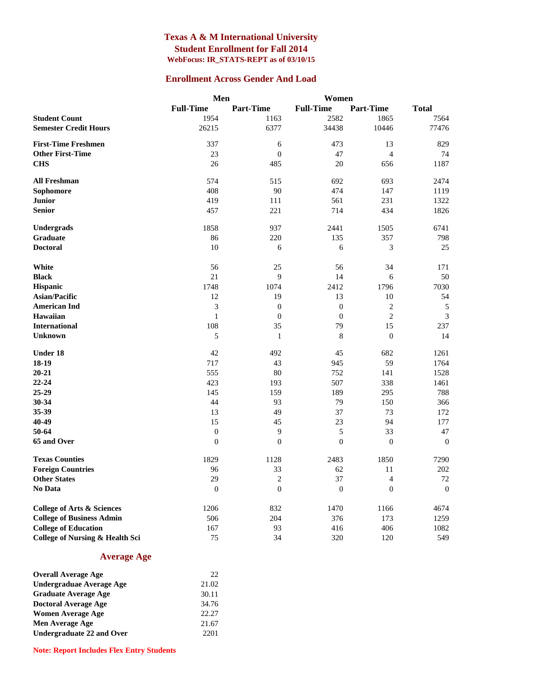#### **Texas A & M International University Student Enrollment for Fall 2014 WebFocus: IR\_STATS-REPT as of 03/10/15**

#### **Enrollment Across Gender And Load**

|                                       | Men              |                  | Women            |                  |                  |
|---------------------------------------|------------------|------------------|------------------|------------------|------------------|
|                                       | <b>Full-Time</b> | <b>Part-Time</b> | <b>Full-Time</b> | <b>Part-Time</b> | <b>Total</b>     |
| <b>Student Count</b>                  | 1954             | 1163             | 2582             | 1865             | 7564             |
| <b>Semester Credit Hours</b>          | 26215            | 6377             | 34438            | 10446            | 77476            |
| <b>First-Time Freshmen</b>            | 337              | 6                | 473              | 13               | 829              |
| <b>Other First-Time</b>               | 23               | $\overline{0}$   | 47               | $\overline{4}$   | 74               |
| <b>CHS</b>                            | 26               | 485              | 20               | 656              | 1187             |
| <b>All Freshman</b>                   | 574              | 515              | 692              | 693              | 2474             |
| Sophomore                             | 408              | 90               | 474              | 147              | 1119             |
| <b>Junior</b>                         | 419              | 111              | 561              | 231              | 1322             |
| <b>Senior</b>                         | 457              | 221              | 714              | 434              | 1826             |
| <b>Undergrads</b>                     | 1858             | 937              | 2441             | 1505             | 6741             |
| Graduate                              | 86               | 220              | 135              | 357              | 798              |
| <b>Doctoral</b>                       | 10               | 6                | 6                | 3                | 25               |
| White                                 | 56               | 25               | 56               | 34               | 171              |
| <b>Black</b>                          | 21               | 9                | 14               | 6                | 50               |
| Hispanic                              | 1748             | 1074             | 2412             | 1796             | 7030             |
| <b>Asian/Pacific</b>                  | 12               | 19               | 13               | 10               | 54               |
| <b>American Ind</b>                   | 3                | $\boldsymbol{0}$ | $\boldsymbol{0}$ | $\mathbf{2}$     | $\sqrt{5}$       |
| Hawaiian                              | $\mathbf 1$      | $\boldsymbol{0}$ | $\boldsymbol{0}$ | $\overline{c}$   | 3                |
| <b>International</b>                  | 108              | 35               | 79               | 15               | 237              |
| <b>Unknown</b>                        | 5                | $\mathbf{1}$     | $\,8\,$          | $\boldsymbol{0}$ | 14               |
| Under 18                              | 42               | 492              | 45               | 682              | 1261             |
| $18-19$                               | 717              | 43               | 945              | 59               | 1764             |
| $20 - 21$                             | 555              | 80               | 752              | 141              | 1528             |
| $22 - 24$                             | 423              | 193              | 507              | 338              | 1461             |
| 25-29                                 | 145              | 159              | 189              | 295              | 788              |
| 30-34                                 | 44               | 93               | 79               | 150              | 366              |
| 35-39                                 | 13               | 49               | 37               | 73               | 172              |
| 40-49                                 | 15               | 45               | 23               | 94               | 177              |
| 50-64                                 | $\boldsymbol{0}$ | 9                | 5                | 33               | 47               |
| 65 and Over                           | $\boldsymbol{0}$ | $\boldsymbol{0}$ | $\overline{0}$   | $\boldsymbol{0}$ | $\mathbf{0}$     |
| <b>Texas Counties</b>                 | 1829             | 1128             | 2483             | 1850             | 7290             |
| <b>Foreign Countries</b>              | 96               | 33               | 62               | 11               | 202              |
| <b>Other States</b>                   | 29               | $\mathbf{2}$     | 37               | $\overline{4}$   | 72               |
| No Data                               | $\mathbf{0}$     | $\boldsymbol{0}$ | $\mathbf{0}$     | $\theta$         | $\boldsymbol{0}$ |
| <b>College of Arts &amp; Sciences</b> | 1206             | 832              | 1470             | 1166             | 4674             |
| <b>College of Business Admin</b>      | 506              | 204              | 376              | 173              | 1259             |
| <b>College of Education</b>           | 167              | 93               | 416              | 406              | 1082             |
| College of Nursing & Health Sci       | 75               | 34               | 320              | 120              | 549              |

#### **Average Age**

| <b>Overall Average Age</b>       | 22    |
|----------------------------------|-------|
| Undergraduae Average Age         | 21.02 |
| <b>Graduate Average Age</b>      | 30.11 |
| <b>Doctoral Average Age</b>      | 34.76 |
| <b>Women Average Age</b>         | 22.27 |
| Men Average Age                  | 21.67 |
| <b>Undergraduate 22 and Over</b> | 2201  |

**Note: Report Includes Flex Entry Students**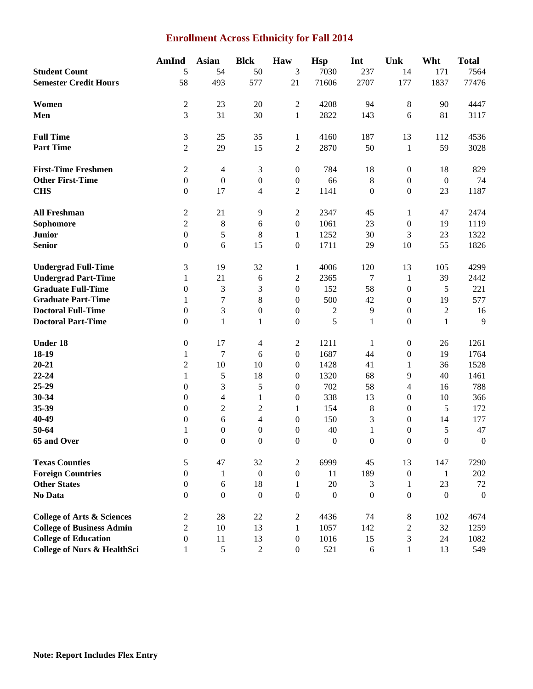### **Enrollment Across Ethnicity for Fall 2014**

|                                        | AmInd            | <b>Asian</b>     | <b>Blck</b>      | Haw              | <b>Hsp</b>       | Int              | Unk              | Wht              | <b>Total</b>     |
|----------------------------------------|------------------|------------------|------------------|------------------|------------------|------------------|------------------|------------------|------------------|
| <b>Student Count</b>                   | 5                | 54               | 50               | $\overline{3}$   | 7030             | 237              | 14               | 171              | 7564             |
| <b>Semester Credit Hours</b>           | 58               | 493              | 577              | 21               | 71606            | 2707             | 177              | 1837             | 77476            |
|                                        |                  |                  |                  |                  |                  |                  |                  |                  |                  |
| Women                                  | $\mathbf{2}$     | 23               | 20               | $\overline{2}$   | 4208             | 94               | $8\,$            | 90               | 4447             |
| Men                                    | 3                | 31               | 30               | $\mathbf{1}$     | 2822             | 143              | $\boldsymbol{6}$ | 81               | 3117             |
| <b>Full Time</b>                       | 3                | 25               | 35               | $\mathbf{1}$     | 4160             | 187              | 13               | 112              | 4536             |
| <b>Part Time</b>                       | $\overline{c}$   | 29               | 15               | $\overline{2}$   | 2870             | 50               | 1                | 59               | 3028             |
|                                        |                  |                  |                  |                  |                  |                  |                  |                  |                  |
| <b>First-Time Freshmen</b>             | $\sqrt{2}$       | $\overline{4}$   | $\mathfrak 3$    | $\boldsymbol{0}$ | 784              | 18               | $\boldsymbol{0}$ | 18               | 829              |
| <b>Other First-Time</b>                | $\boldsymbol{0}$ | $\boldsymbol{0}$ | $\boldsymbol{0}$ | $\boldsymbol{0}$ | 66               | $\,8\,$          | $\boldsymbol{0}$ | $\boldsymbol{0}$ | 74               |
| <b>CHS</b>                             | $\boldsymbol{0}$ | 17               | 4                | $\overline{2}$   | 1141             | $\boldsymbol{0}$ | $\boldsymbol{0}$ | 23               | 1187             |
| <b>All Freshman</b>                    | $\boldsymbol{2}$ | 21               | 9                | $\overline{c}$   | 2347             | 45               | 1                | 47               | 2474             |
| Sophomore                              | $\overline{2}$   | 8                | 6                | $\boldsymbol{0}$ | 1061             | 23               | $\boldsymbol{0}$ | 19               | 1119             |
| <b>Junior</b>                          | $\boldsymbol{0}$ | 5                | 8                | $\mathbf{1}$     | 1252             | 30               | $\mathfrak{Z}$   | 23               | 1322             |
| <b>Senior</b>                          | $\boldsymbol{0}$ | 6                | 15               | $\boldsymbol{0}$ | 1711             | 29               | 10               | 55               | 1826             |
| <b>Undergrad Full-Time</b>             | 3                | 19               | 32               | $\mathbf{1}$     | 4006             | 120              | 13               | 105              | 4299             |
| <b>Undergrad Part-Time</b>             | $\mathbf{1}$     | 21               | 6                | $\boldsymbol{2}$ | 2365             | 7                | $\mathbf{1}$     | 39               | 2442             |
| <b>Graduate Full-Time</b>              | $\boldsymbol{0}$ | $\mathfrak{Z}$   | 3                | $\boldsymbol{0}$ | 152              | 58               | $\boldsymbol{0}$ | 5                | 221              |
| <b>Graduate Part-Time</b>              | $\mathbf{1}$     | $\boldsymbol{7}$ | $\,8\,$          | $\boldsymbol{0}$ | 500              | 42               | $\boldsymbol{0}$ | 19               | 577              |
| <b>Doctoral Full-Time</b>              | $\boldsymbol{0}$ | $\mathfrak{Z}$   | $\boldsymbol{0}$ | $\boldsymbol{0}$ | $\boldsymbol{2}$ | 9                | $\boldsymbol{0}$ | $\sqrt{2}$       | 16               |
| <b>Doctoral Part-Time</b>              |                  |                  |                  |                  | 5                | $\mathbf{1}$     | $\boldsymbol{0}$ |                  | 9                |
|                                        | $\boldsymbol{0}$ | $\mathbf{1}$     | $\mathbf{1}$     | $\boldsymbol{0}$ |                  |                  |                  | $\mathbf{1}$     |                  |
| <b>Under 18</b>                        | $\boldsymbol{0}$ | 17               | 4                | $\overline{c}$   | 1211             | 1                | $\boldsymbol{0}$ | 26               | 1261             |
| 18-19                                  | 1                | $\tau$           | 6                | $\boldsymbol{0}$ | 1687             | 44               | $\boldsymbol{0}$ | 19               | 1764             |
| $20 - 21$                              | $\overline{2}$   | 10               | 10               | $\theta$         | 1428             | 41               | 1                | 36               | 1528             |
| $22 - 24$                              | 1                | $\mathfrak s$    | 18               | $\theta$         | 1320             | 68               | 9                | 40               | 1461             |
| 25-29                                  | $\boldsymbol{0}$ | 3                | 5                | $\boldsymbol{0}$ | 702              | 58               | 4                | 16               | 788              |
| 30-34                                  | $\boldsymbol{0}$ | $\overline{4}$   | $\mathbf{1}$     | $\boldsymbol{0}$ | 338              | 13               | $\boldsymbol{0}$ | 10               | 366              |
| 35-39                                  | $\boldsymbol{0}$ | $\sqrt{2}$       | $\boldsymbol{2}$ | 1                | 154              | 8                | $\boldsymbol{0}$ | 5                | 172              |
| 40-49                                  | $\boldsymbol{0}$ | 6                | 4                | $\boldsymbol{0}$ | 150              | 3                | $\mathbf{0}$     | 14               | 177              |
| 50-64                                  | $\mathbf{1}$     | $\boldsymbol{0}$ | $\boldsymbol{0}$ | $\boldsymbol{0}$ | 40               | $\mathbf{1}$     | $\boldsymbol{0}$ | 5                | 47               |
| 65 and Over                            | $\overline{0}$   | $\mathbf{0}$     | $\boldsymbol{0}$ | $\boldsymbol{0}$ | $\boldsymbol{0}$ | $\boldsymbol{0}$ | $\boldsymbol{0}$ | $\boldsymbol{0}$ | $\boldsymbol{0}$ |
| <b>Texas Counties</b>                  | 5                | 47               | 32               | $\boldsymbol{2}$ | 6999             | 45               | 13               | 147              | 7290             |
| <b>Foreign Countries</b>               | $\mathbf{0}$     | 1                | $\overline{0}$   | $\boldsymbol{0}$ | 11               | 189              | $\boldsymbol{0}$ | -1               | 202              |
| <b>Other States</b>                    | $\mathbf{0}$     | 6                | 18               | 1                | 20               | 3                | 1                | 23               | 72               |
| <b>No Data</b>                         | $\mathbf{0}$     | $\boldsymbol{0}$ | $\boldsymbol{0}$ | $\boldsymbol{0}$ | $\boldsymbol{0}$ | $\mathbf{0}$     | $\boldsymbol{0}$ | $\mathbf{0}$     | $\boldsymbol{0}$ |
| <b>College of Arts &amp; Sciences</b>  | $\overline{c}$   | $28\,$           | 22               | $\mathbf{2}$     | 4436             | 74               | $\,8\,$          | 102              | 4674             |
| <b>College of Business Admin</b>       | $\overline{2}$   | 10               | 13               | 1                | 1057             | 142              | $\sqrt{2}$       | 32               | 1259             |
| <b>College of Education</b>            | $\boldsymbol{0}$ | 11               | 13               | $\boldsymbol{0}$ | 1016             | 15               | 3                | 24               | 1082             |
| <b>College of Nurs &amp; HealthSci</b> | $\mathbf{1}$     | $\sqrt{5}$       | $\sqrt{2}$       | $\boldsymbol{0}$ | 521              | 6                | $\mathbf{1}$     | 13               | 549              |
|                                        |                  |                  |                  |                  |                  |                  |                  |                  |                  |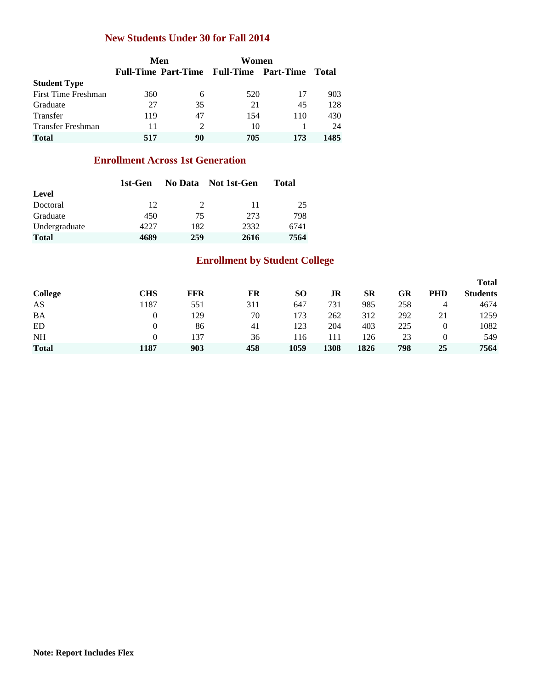#### **New Students Under 30 for Fall 2014**

|                     |     | Men | Women                                   |     |       |
|---------------------|-----|-----|-----------------------------------------|-----|-------|
|                     |     |     | Full-Time Part-Time Full-Time Part-Time |     | Total |
| <b>Student Type</b> |     |     |                                         |     |       |
| First Time Freshman | 360 | 6   | 520                                     | 17  | 903   |
| Graduate            | 27  | 35  | 21                                      | 45  | 128   |
| <b>Transfer</b>     | 119 | 47  | 154                                     | 110 | 430   |
| Transfer Freshman   | 11  | 2   | 10                                      |     | 24    |
| <b>Total</b>        | 517 | 90  | 705                                     | 173 | 1485  |

## **Enrollment Across 1st Generation**

|               | 1st-Gen |                             | No Data Not 1st-Gen | Total |
|---------------|---------|-----------------------------|---------------------|-------|
| Level         |         |                             |                     |       |
| Doctoral      | 12      | $\mathcal{D}_{\mathcal{L}}$ | 11                  | 25    |
| Graduate      | 450     | 75                          | 273                 | 798   |
| Undergraduate | 4227    | 182                         | 2332                | 6741  |
| <b>Total</b>  | 4689    | 259                         | 2616                | 7564  |

# **Enrollment by Student College**

|              |      |     |     |      |      |           |     |     | <b>Total</b>    |
|--------------|------|-----|-----|------|------|-----------|-----|-----|-----------------|
| College      | CHS  | FFR | FR  | SО   | JR   | <b>SR</b> | GR  | PHD | <b>Students</b> |
| AS           | 187  | 551 | 311 | 647  | 731  | 985       | 258 |     | 4674            |
| <b>BA</b>    |      | 129 | 70  | 173  | 262  | 312       | 292 | 21  | 1259            |
| ED           |      | 86  | 41  | 123  | 204  | 403       | 225 | 0   | 1082            |
| <b>NH</b>    |      | 137 | 36  | 116  |      | 126       | 23  |     | 549             |
| <b>Total</b> | 1187 | 903 | 458 | 1059 | 1308 | 1826      | 798 | 25  | 7564            |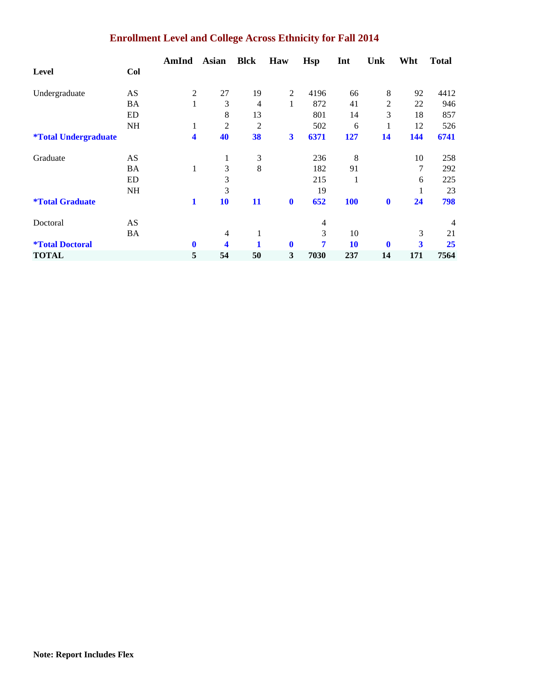# **Enrollment Level and College Across Ethnicity for Fall 2014**

|                                    |           | AmInd            | <b>Asian</b>   | <b>Blck</b>    | Haw            | Hsp  | Int        | Unk            | Wht | <b>Total</b> |
|------------------------------------|-----------|------------------|----------------|----------------|----------------|------|------------|----------------|-----|--------------|
| <b>Level</b>                       | Col       |                  |                |                |                |      |            |                |     |              |
| Undergraduate                      | AS        | $\boldsymbol{2}$ | 27             | 19             | $\overline{2}$ | 4196 | 66         | $\,8\,$        | 92  | 4412         |
|                                    | BA        | 1                | 3              | $\overline{4}$ | 1              | 872  | 41         | $\overline{2}$ | 22  | 946          |
|                                    | <b>ED</b> |                  | 8              | 13             |                | 801  | 14         | 3              | 18  | 857          |
|                                    | <b>NH</b> | 1                | 2              | $\overline{2}$ |                | 502  | 6          | 1              | 12  | 526          |
| <i><b>*Total Undergraduate</b></i> |           | 4                | 40             | 38             | 3              | 6371 | 127        | 14             | 144 | 6741         |
| Graduate                           | AS        |                  | 1              | 3              |                | 236  | 8          |                | 10  | 258          |
|                                    | BA        | 1                | 3              | 8              |                | 182  | 91         |                | 7   | 292          |
|                                    | ED        |                  | 3              |                |                | 215  | 1          |                | 6   | 225          |
|                                    | <b>NH</b> |                  | 3              |                |                | 19   |            |                | 1   | 23           |
| <i><b>*Total Graduate</b></i>      |           | 1                | 10             | 11             | $\bf{0}$       | 652  | <b>100</b> | $\bf{0}$       | 24  | 798          |
| Doctoral                           | AS        |                  |                |                |                | 4    |            |                |     | 4            |
|                                    | BA        |                  | $\overline{4}$ |                |                | 3    | 10         |                | 3   | 21           |
| <i><b>*Total Doctoral</b></i>      |           | $\bf{0}$         | 4              |                | $\bf{0}$       | 7    | 10         | $\mathbf{0}$   | 3   | 25           |
| <b>TOTAL</b>                       |           | 5                | 54             | 50             | 3              | 7030 | 237        | 14             | 171 | 7564         |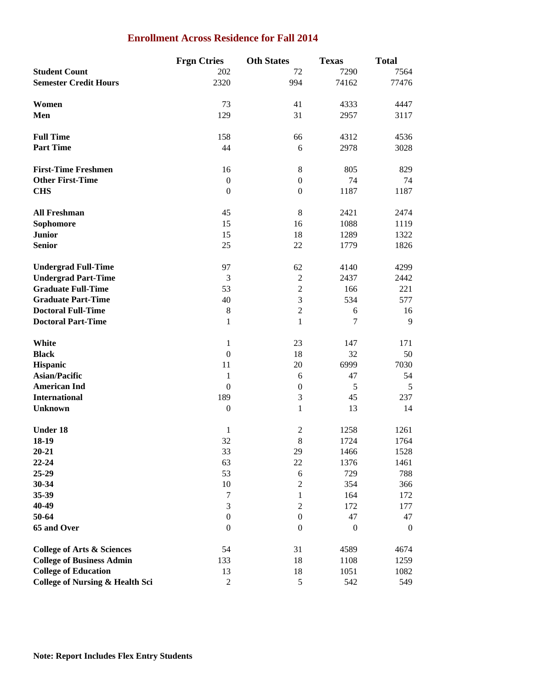## **Enrollment Across Residence for Fall 2014**

|                                            | <b>Frgn Ctries</b> | <b>Oth States</b> | <b>Texas</b> | <b>Total</b>     |
|--------------------------------------------|--------------------|-------------------|--------------|------------------|
| <b>Student Count</b>                       | 202                | 72                | 7290         | 7564             |
| <b>Semester Credit Hours</b>               | 2320               | 994               | 74162        | 77476            |
|                                            |                    |                   |              |                  |
| Women                                      | 73                 | 41                | 4333         | 4447             |
| Men                                        | 129                | 31                | 2957         | 3117             |
|                                            |                    |                   |              |                  |
| <b>Full Time</b>                           | 158                | 66                | 4312         | 4536             |
| <b>Part Time</b>                           | 44                 | 6                 | 2978         | 3028             |
|                                            |                    |                   |              |                  |
| <b>First-Time Freshmen</b>                 | 16                 | 8                 | 805          | 829              |
| <b>Other First-Time</b>                    |                    | $\boldsymbol{0}$  | 74           | 74               |
|                                            | $\boldsymbol{0}$   |                   |              |                  |
| <b>CHS</b>                                 | $\boldsymbol{0}$   | $\boldsymbol{0}$  | 1187         | 1187             |
|                                            |                    |                   |              |                  |
| <b>All Freshman</b>                        | 45                 | 8                 | 2421         | 2474             |
| Sophomore                                  | 15                 | 16                | 1088         | 1119             |
| <b>Junior</b>                              | 15                 | 18                | 1289         | 1322             |
| <b>Senior</b>                              | 25                 | 22                | 1779         | 1826             |
|                                            |                    |                   |              |                  |
| <b>Undergrad Full-Time</b>                 | 97                 | 62                | 4140         | 4299             |
| <b>Undergrad Part-Time</b>                 | 3                  | $\mathfrak{2}$    | 2437         | 2442             |
| <b>Graduate Full-Time</b>                  | 53                 | $\sqrt{2}$        | 166          | 221              |
| <b>Graduate Part-Time</b>                  | 40                 | $\mathfrak{Z}$    | 534          | 577              |
| <b>Doctoral Full-Time</b>                  | $8\,$              | $\sqrt{2}$        | 6            | 16               |
| <b>Doctoral Part-Time</b>                  | $\mathbf{1}$       | $\mathbf{1}$      | 7            | 9                |
|                                            |                    |                   |              |                  |
| White                                      | $\mathbf{1}$       | 23                | 147          | 171              |
| <b>Black</b>                               | $\boldsymbol{0}$   | 18                | 32           | 50               |
| Hispanic                                   | 11                 | 20                | 6999         | 7030             |
| <b>Asian/Pacific</b>                       | 1                  | 6                 | 47           | 54               |
| <b>American Ind</b>                        | $\mathbf{0}$       | $\boldsymbol{0}$  | 5            | 5                |
| <b>International</b>                       | 189                | $\mathfrak 3$     | 45           | 237              |
| <b>Unknown</b>                             | $\boldsymbol{0}$   | $\mathbf{1}$      | 13           | 14               |
| <b>Under 18</b>                            | 1                  | $\mathbf{2}$      | 1258         | 1261             |
| 18-19                                      | 32                 | 8                 | 1724         | 1764             |
|                                            |                    |                   |              |                  |
| $20 - 21$                                  | 33                 | 29                | 1466         | 1528             |
| 22-24                                      | 63                 | 22                | 1376         | 1461             |
| 25-29                                      | 53                 | $\sqrt{6}$        | 729          | 788              |
| 30-34                                      | $10\,$             | $\overline{2}$    | 354          | 366              |
| 35-39                                      | $\boldsymbol{7}$   | $\mathbf{1}$      | 164          | 172              |
| 40-49                                      | 3                  | $\mathfrak{2}$    | 172          | 177              |
| 50-64                                      | $\boldsymbol{0}$   | $\boldsymbol{0}$  | 47           | 47               |
| 65 and Over                                | $\boldsymbol{0}$   | $\boldsymbol{0}$  | $\theta$     | $\boldsymbol{0}$ |
|                                            |                    |                   |              |                  |
| <b>College of Arts &amp; Sciences</b>      | 54                 | 31                | 4589         | 4674             |
| <b>College of Business Admin</b>           | 133                | 18                | 1108         | 1259             |
| <b>College of Education</b>                | 13                 | 18                | 1051         | 1082             |
| <b>College of Nursing &amp; Health Sci</b> | $\boldsymbol{2}$   | $\mathfrak s$     | 542          | 549              |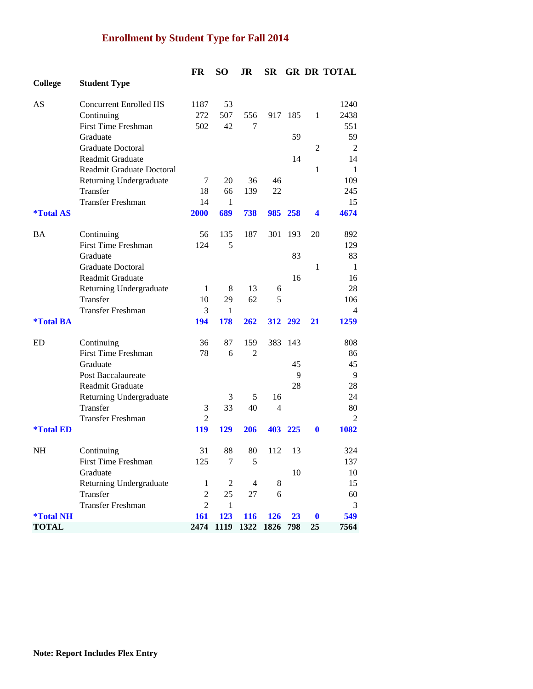# **Enrollment by Student Type for Fall 2014**

|                         |                                  | FR             | <b>SO</b>      | JR             | <b>SR</b>      |     |                         | <b>GR DR TOTAL</b> |
|-------------------------|----------------------------------|----------------|----------------|----------------|----------------|-----|-------------------------|--------------------|
| <b>College</b>          | <b>Student Type</b>              |                |                |                |                |     |                         |                    |
| AS                      | <b>Concurrent Enrolled HS</b>    | 1187           | 53             |                |                |     |                         | 1240               |
|                         | Continuing                       | 272            | 507            | 556            | 917            | 185 | 1                       | 2438               |
|                         | <b>First Time Freshman</b>       | 502            | 42             | 7              |                |     |                         | 551                |
|                         | Graduate                         |                |                |                |                | 59  |                         | 59                 |
|                         | Graduate Doctoral                |                |                |                |                |     | 2                       | $\overline{2}$     |
|                         | <b>Readmit Graduate</b>          |                |                |                |                | 14  |                         | 14                 |
|                         | <b>Readmit Graduate Doctoral</b> |                |                |                |                |     | $\mathbf{1}$            | 1                  |
|                         | Returning Undergraduate          | 7              | 20             | 36             | 46             |     |                         | 109                |
|                         | Transfer                         | 18             | 66             | 139            | 22             |     |                         | 245                |
|                         | <b>Transfer Freshman</b>         | 14             | 1              |                |                |     |                         | 15                 |
| <i><b>*Total AS</b></i> |                                  | 2000           | 689            | 738            | 985            | 258 | $\overline{\mathbf{4}}$ | 4674               |
| BA                      | Continuing                       | 56             | 135            | 187            | 301            | 193 | 20                      | 892                |
|                         | <b>First Time Freshman</b>       | 124            | 5              |                |                |     |                         | 129                |
|                         | Graduate                         |                |                |                |                | 83  |                         | 83                 |
|                         | Graduate Doctoral                |                |                |                |                |     | $\mathbf{1}$            | 1                  |
|                         | Readmit Graduate                 |                |                |                |                | 16  |                         | 16                 |
|                         | Returning Undergraduate          | $\mathbf{1}$   | 8              | 13             | 6              |     |                         | 28                 |
|                         | Transfer                         | 10             | 29             | 62             | 5              |     |                         | 106                |
|                         | <b>Transfer Freshman</b>         | 3              | 1              |                |                |     |                         | 4                  |
| <i><b>*Total BA</b></i> |                                  | 194            | 178            | 262            | 312            | 292 | 21                      | 1259               |
| ED                      | Continuing                       | 36             | 87             | 159            | 383            | 143 |                         | 808                |
|                         | <b>First Time Freshman</b>       | 78             | 6              | $\overline{2}$ |                |     |                         | 86                 |
|                         | Graduate                         |                |                |                |                | 45  |                         | 45                 |
|                         | Post Baccalaureate               |                |                |                |                | 9   |                         | 9                  |
|                         | <b>Readmit Graduate</b>          |                |                |                |                | 28  |                         | 28                 |
|                         | Returning Undergraduate          |                | 3              | 5              | 16             |     |                         | 24                 |
|                         | Transfer                         | 3              | 33             | 40             | $\overline{4}$ |     |                         | 80                 |
|                         | Transfer Freshman                | $\overline{2}$ |                |                |                |     |                         | $\overline{c}$     |
| <i><b>*Total ED</b></i> |                                  | 119            | <b>129</b>     | 206            | 403            | 225 | 0                       | 1082               |
| <b>NH</b>               | Continuing                       | 31             | 88             | 80             | 112            | 13  |                         | 324                |
|                         | <b>First Time Freshman</b>       | 125            | 7              | 5              |                |     |                         | 137                |
|                         | Graduate                         |                |                |                |                | 10  |                         | 10                 |
|                         | Returning Undergraduate          | $\mathbf{1}$   | $\overline{c}$ | $\overline{4}$ | 8              |     |                         | 15                 |
|                         | Transfer                         | $\overline{c}$ | 25             | 27             | 6              |     |                         | 60                 |
|                         | <b>Transfer Freshman</b>         | $\overline{2}$ | $\mathbf{1}$   |                |                |     |                         | 3                  |
| <i><b>*Total NH</b></i> |                                  | 161            | 123            | 116            | 126            | 23  | $\boldsymbol{0}$        | 549                |
| <b>TOTAL</b>            |                                  | 2474           | 1119           | 1322           | 1826           | 798 | 25                      | 7564               |